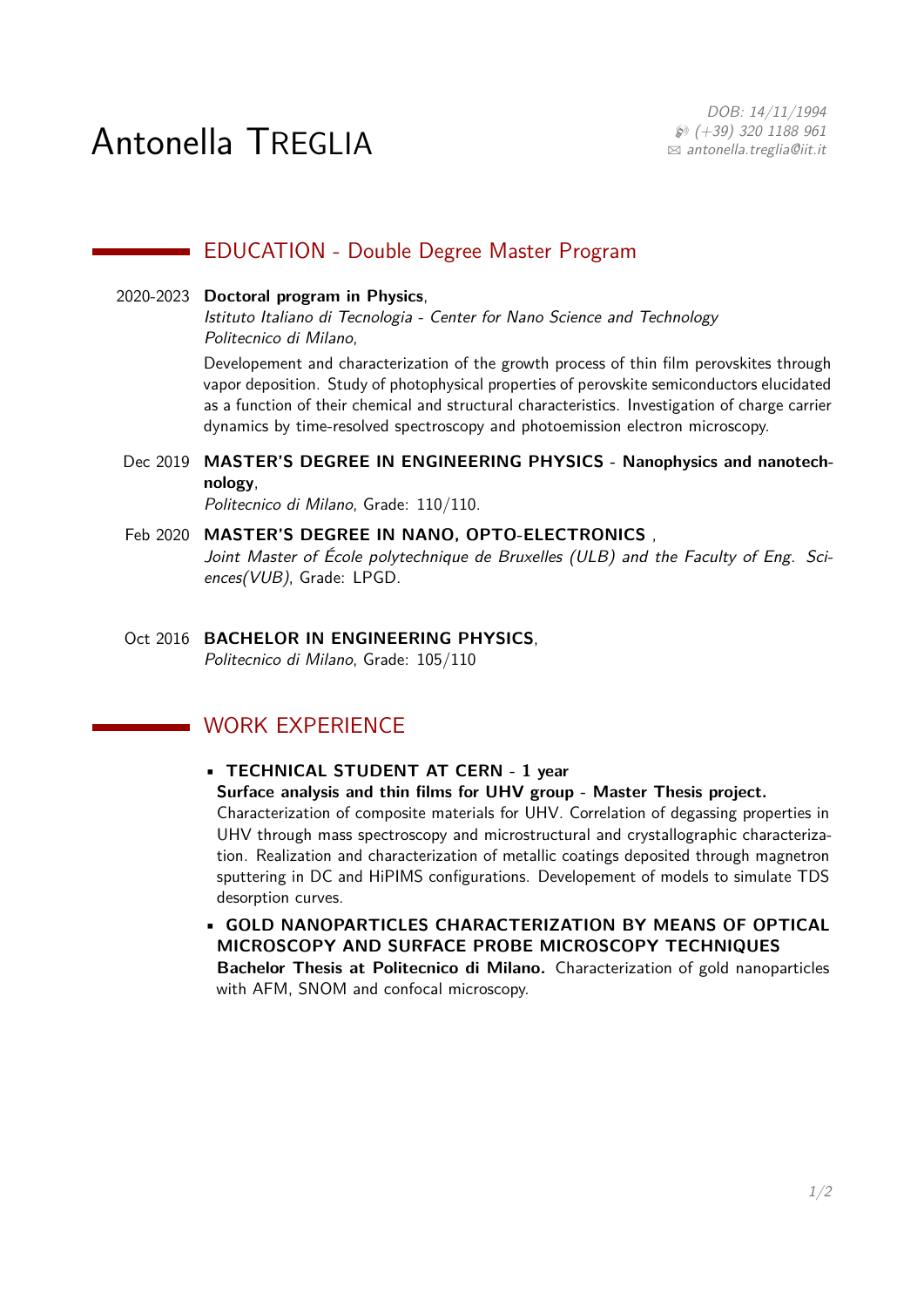# Antonella TREGLIA

DOB: 14/11/1994  $\wp$  (+39) 320 1188 961  $\boxtimes$  [antonella.treglia@iit.it](mailto:antonella.treglia@iit.it)

## **EDUCATION - Double Degree Master Program**

### 2020-2023 **Doctoral program in Physics**,

Istituto Italiano di Tecnologia - Center for Nano Science and Technology Politecnico di Milano,

Developement and characterization of the growth process of thin film perovskites through vapor deposition. Study of photophysical properties of perovskite semiconductors elucidated as a function of their chemical and structural characteristics. Investigation of charge carrier dynamics by time-resolved spectroscopy and photoemission electron microscopy.

Dec 2019 **MASTER'S DEGREE IN ENGINEERING PHYSICS - Nanophysics and nanotechnology**,

Politecnico di Milano, Grade: 110/110.

#### Feb 2020 **MASTER'S DEGREE IN NANO, OPTO-ELECTRONICS** ,

Joint Master of École polytechnique de Bruxelles (ULB) and the Faculty of Eng. Sciences(VUB), Grade: LPGD.

Oct 2016 **BACHELOR IN ENGINEERING PHYSICS**, Politecnico di Milano, Grade: 105/110

## **WORK EXPERIENCE**

## • **TECHNICAL STUDENT AT CERN - 1 year**

## **Surface analysis and thin films for UHV group - Master Thesis project.**

Characterization of composite materials for UHV. Correlation of degassing properties in UHV through mass spectroscopy and microstructural and crystallographic characterization. Realization and characterization of metallic coatings deposited through magnetron sputtering in DC and HiPIMS configurations. Developement of models to simulate TDS desorption curves.

• **GOLD NANOPARTICLES CHARACTERIZATION BY MEANS OF OPTICAL MICROSCOPY AND SURFACE PROBE MICROSCOPY TECHNIQUES Bachelor Thesis at Politecnico di Milano.** Characterization of gold nanoparticles with AFM, SNOM and confocal microscopy.